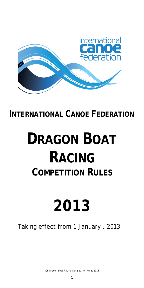

# **INTERNATIONAL CANOE FEDERATION**

# **DRAGON BOAT RACING COMPETITION RULES**

# **2013**

# Taking effect from 1 January , 2013

ICF Dragon Boat Racing Competition Rules 2013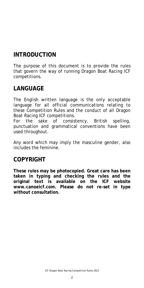# **INTRODUCTION**

The purpose of this document is to provide the rules that govern the way of running Dragon Boat Racing ICF competitions.

# **LANGUAGE**

The English written language is the only acceptable language for all official communications relating to these Competition Rules and the conduct of all Dragon Boat Racing ICF competitions.

For the sake of consistency, British spelling, punctuation and grammatical conventions have been used throughout.

Any word which may imply the masculine gender, also includes the feminine.

### **COPYRIGHT**

**These rules may be photocopied. Great care has been taken in typing and checking the rules and the original text is available on the ICF website www.canoeicf.com. Please do not re-set in type without consultation.**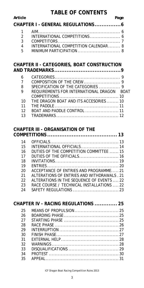#### **TABLE OF CONTENTS**

| Article | Page |
|---------|------|
|         |      |

| CHAPTER I - GENERAL REGULATIONS 6 |                                      |  |  |
|-----------------------------------|--------------------------------------|--|--|
|                                   |                                      |  |  |
|                                   |                                      |  |  |
|                                   |                                      |  |  |
| 4                                 | INTERNATIONAL COMPETITION CALENDAR 8 |  |  |
| $5 -$                             |                                      |  |  |
|                                   |                                      |  |  |

#### **[CHAPTER II - CATEGORIES, BOAT CONSTRUCTION](#page-8-0)  [AND TRADEMARKS......................................9](#page-8-0)**

| 6              |                                            |  |
|----------------|--------------------------------------------|--|
| $\overline{7}$ |                                            |  |
| 8              | SPECIFICATION OF THE CATEGORIES  9         |  |
| $\overline{9}$ | REQUIREMENTS FOR INTERNATIONAL DRAGON BOAT |  |
|                |                                            |  |
|                | 10 THE DRAGON BOAT AND ITS ACCESORIES  10  |  |
| 11             |                                            |  |
| 12             |                                            |  |
|                |                                            |  |

#### **[CHAPTER III - ORGANISATION OF THE](#page-12-0)**

| 14 |                                            |
|----|--------------------------------------------|
| 15 | INTERNATIONAL OFFICIALS 14                 |
| 16 | DUTIES OF THE COMPETITION COMMITTEE  15    |
| 17 |                                            |
| 18 |                                            |
| 19 |                                            |
| 20 | ACCEPTANCE OF ENTRIES AND PROGRAMME21      |
| 21 | ALTERATIONS OF ENTRIES AND WITHDRAWALS, 21 |
| 22 | ALTERATIONS IN THE SEQUENCE OF EVENTS  22  |
| 23 | RACE COURSE / TECHNICAL INSTALLATIONS  22  |
| 24 |                                            |
|    |                                            |

|    | CHAPTER IV - RACING REGULATIONS  25 |
|----|-------------------------------------|
| 25 |                                     |
| 26 |                                     |
| 27 |                                     |
| 28 |                                     |
| 29 |                                     |
| 30 |                                     |
| 31 |                                     |
| 32 |                                     |
| 33 |                                     |
| 34 |                                     |
| 35 |                                     |
|    |                                     |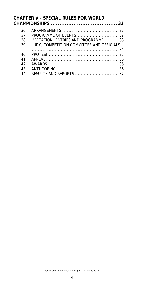# **[CHAPTER V - SPECIAL RULES FOR WORLD](#page-31-0)  [CHAMPIONSHIPS ...................................... 32](#page-31-0)**

| 36<br>37<br>38<br>39 | INVITATION, ENTRIES AND PROGRAMME 33<br>JURY, COMPETITION COMMITTEE AND OFFICIALS |
|----------------------|-----------------------------------------------------------------------------------|
|                      |                                                                                   |
| 40                   |                                                                                   |
| 41                   |                                                                                   |
| 42                   |                                                                                   |
| 43                   |                                                                                   |
| 44                   |                                                                                   |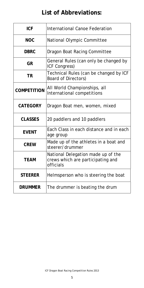# **List of Abbreviations:**

| <b>ICF</b>         | <b>International Canoe Federation</b>                                                |  |
|--------------------|--------------------------------------------------------------------------------------|--|
| <b>NOC</b>         | National Olympic Committee                                                           |  |
| <b>DBRC</b>        | Dragon Boat Racing Committee                                                         |  |
| <b>GR</b>          | General Rules (can only be changed by<br>ICF Congress)                               |  |
| <b>TR</b>          | Technical Rules (can be changed by ICF<br>Board of Directors)                        |  |
| <b>COMPETITION</b> | All World Championships, all<br>International competitions                           |  |
| <b>CATEGORY</b>    | Dragon Boat men, women, mixed                                                        |  |
| <b>CLASSES</b>     | 20 paddlers and 10 paddlers                                                          |  |
| <b>EVENT</b>       | Each Class in each distance and in each<br>age group                                 |  |
| <b>CREW</b>        | Made up of the athletes in a boat and<br>steerer/drummer                             |  |
| TEAM               | National Delegation made up of the<br>crews which are participating and<br>officials |  |
| <b>STEERER</b>     | Helmsperson who is steering the boat                                                 |  |
| <b>DRUMMER</b>     | The drummer is beating the drum                                                      |  |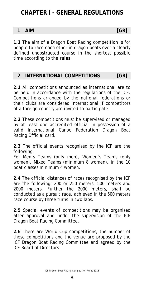# <span id="page-5-0"></span>**CHAPTER I - GENERAL REGULATIONS**

#### **1 AIM [GR]**

**1.1** The aim of a Dragon Boat Racing competition is for people to race each other in dragon boats over a clearly defined unobstructed course in the shortest possible time according to the **rules**.

#### **2 INTERNATIONAL COMPETITIONS [GR]**

**2.1** All competitions announced as international are to be held in accordance with the regulations of the ICF. Competitions arranged by the national federations or their clubs are considered international if competitors of a foreign country are invited to participate.

**2.2** These competitions must be supervised or managed by at least one accredited official in possession of a valid International Canoe Federation Dragon Boat Racing Official card.

**2.3** The official events recognised by the ICF are the following:

For Men's Teams (only men), Women's Teams (only women), Mixed Teams (minimum 8 women), in the 10 boat classes minimum 4 women.

**2.4** The official distances of races recognised by the ICF are the following: 200 or 250 meters, 500 meters and 2000 meters. Further the 2000 meters, shall be conducted as a pursuit race, achieved in the 500 meters race course by three turns in two laps.

**2.5** Special events of competitions may be organised after approval and under the supervision of the ICF Dragon Boat Racing Committee.

**2.6** There are World Cup competitions, the number of these competitions and the venue are proposed by the ICF Dragon Boat Racing Committee and agreed by the ICF Board of Directors.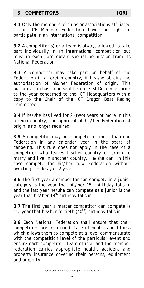#### <span id="page-6-0"></span>**3 COMPETITORS [GR]**

**3.1** Only the members of clubs or associations affiliated to an ICF Member Federation have the right to participate in an international competition.

**3.2** A competitor(s) or a team is always allowed to take part individually in an international competition but must in each case obtain special permission from its National Federation.

**3.3** A competitor may take part on behalf of the Federation in a foreign country, if he/she obtains the authorisation of his/her Federation of origin. This authorisation has to be sent before 31st December prior to the year concerned to the ICF Headquarters with a copy to the Chair of the ICF Dragon Boat Racing Committee.

**3.4** If he/she has lived for 2 (two) years or more in this foreign country, the approval of his/her Federation of origin is no longer required.

**3.5** A competitor may not compete for more than one Federation in any calendar year in the sport of canoeing. This rule does not apply in the case of a competitor who leaves his/her country of origin to marry and live in another country. He/she can, in this case compete for his/her new Federation without awaiting the delay of 2 years.

**3.6** The first year a competitor can compete in a junior category is the year that his/her  $15<sup>th</sup>$  birthday falls in and the last year he/she can compete as a junior is the year that his/her 18<sup>th</sup> birthday falls in.

**3.7** The first year a master competitor can compete is the year that his/her fortieth  $(40<sup>th</sup>)$  birthday falls in.

**3.8** Each National Federation shall ensure that their competitors are in a good state of health and fitness which allows them to compete at a level commensurate with the competition level of the particular event and ensure each competitor, team official and the member federation carries appropriate health, accident and property insurance covering their persons, equipment and property.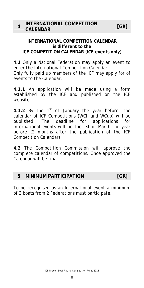#### <span id="page-7-0"></span>**INTERNATIONAL COMPETITION CALENDAR is different to the ICF COMPETITION CALENDAR (ICF events only)**

**4.1** Only a National Federation may apply an event to enter the International Competition Calendar. Only fully paid up members of the ICF may apply for of events to the Calendar.

**4.1.1** An application will be made using a form established by the ICF and published on the ICF website.

**4.1.2** By the  $1<sup>st</sup>$  of January the year before, the calendar of ICF Competitions (WCh and WCup) will be published. The deadline for applications for international events will be the 1st of March the year before (2 months after the publication of the ICF Competition Calendar).

**4.2** The Competition Commission will approve the complete calendar of competitions. Once approved the Calendar will be final.

#### **5 MINIMUM PARTICIPATION [GR]**

To be recognised as an International event a minimum of 3 boats from 2 Federations must participate.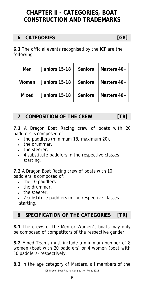# <span id="page-8-0"></span>**CHAPTER II - CATEGORIES, BOAT CONSTRUCTION AND TRADEMARKS**

### **6 CATEGORIES [GR]**

**6.1** The official events recognised by the ICF are the following:

| Men          | Juniors 15-18 | <b>Seniors</b> | Masters 40+ |
|--------------|---------------|----------------|-------------|
| Women        | Juniors 15-18 | <b>Seniors</b> | Masters 40+ |
| <b>Mixed</b> | Juniors 15-18 | <b>Seniors</b> | Masters 40+ |

#### **7 COMPOSITION OF THE CREW [TR]**

**7.1** A Dragon Boat Racing crew of boats with 20 paddlers is composed of:

- the paddlers (minimum 18, maximum 20),
- the drummer,
- the steerer,
- 4 substitute paddlers in the respective classes starting.

**7.2** A Dragon Boat Racing crew of boats with 10 paddlers is composed of:

- the 10 paddlers,
- the drummer,
- the steerer,
- 2 substitute paddlers in the respective classes starting.

#### **8 SPECIFICATION OF THE CATEGORIES [TR]**

**8.1** The crews of the Men or Women's boats may only be composed of competitors of the respective gender.

**8.2** Mixed Teams must include a minimum number of 8 women (boat with 20 paddlers) or 4 women (boat with 10 paddlers) respectively.

**8.3** In the age category of Masters, all members of the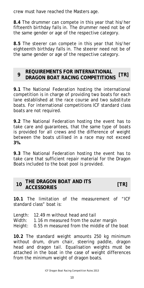<span id="page-9-0"></span>crew must have reached the Masters age.

**8.4** The drummer can compete in this year that his/her fifteenth birthday falls in. The drummer need not be of the same gender or age of the respective category.

**8.5** The steerer can compete in this year that his/her eighteenth birthday falls in. The steerer need not be of the same gender or age of the respective category.

#### **<sup>9</sup>REQUIREMENTS FOR INTERNATIONAL DRAGON BOAT RACING COMPETITIONS [TR]**

**9.1** The National Federation hosting the international competition is in charge of providing two boats for each lane established at the race course and two substitute boats. For international competitions ICF standard class boats are not required.

**9.2** The National Federation hosting the event has to take care and guarantees, that the same type of boats is provided for all crews and the difference of weight between the boats utilised in a race may not exceed **3%.** 

**9.3** The National Federation hosting the event has to take care that sufficient repair material for the Dragon Boats included to the boat pool is provided.

| THE DRAGON BOAT AND ITS |      |
|-------------------------|------|
| <b>ACCESSORIES</b>      | [TR] |

**10.1** The limitation of the measurement of "ICF standard class" boat is:

Length: 12.49 m without head and tail

Width: 1.16 m measured from the outer margin

Height: 0.55 m measured from the middle of the boat

**10.2** The standard weight amounts 250 kg minimum without drum, drum chair, steering paddle, dragon head and dragon tail. Equalisation weights must be attached in the boat in the case of weight differences from the minimum weight of dragon boats.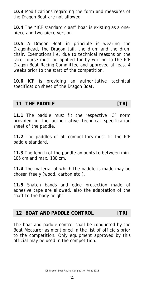<span id="page-10-0"></span>**10.3** Modifications regarding the form and measures of the Dragon Boat are not allowed.

**10.4** The "ICF standard class" boat is existing as a onepiece and two-piece version.

**10.5** A Dragon Boat in principle is wearing the Dragonhead, the Dragon tail, the drum and the drum chair. Exemptions i.e. due to technical reasons on the race course must be applied for by writing to the ICF Dragon Boat Racing Committee and approved at least 4 weeks prior to the start of the competition.

**10.6** ICF is providing an authoritative technical specification sheet of the Dragon Boat.

#### **11 THE PADDLE [TR]**

**11.1** The paddle must fit the respective ICF norm provided in the authoritative technical specification sheet of the paddle.

**11.2** The paddles of all competitors must fit the ICF paddle standard.

**11.3** The length of the paddle amounts to between min. 105 cm and max. 130 cm.

**11.4** The material of which the paddle is made may be chosen freely (wood, carbon etc.).

**11.5** Snatch bands and edge protection made of adhesive tape are allowed, also the adaptation of the shaft to the body height.

#### **12 BOAT AND PADDLE CONTROL [TR]**

The boat and paddle control shall be conducted by the Boat Measurer as mentioned in the list of officials prior to the competition. Only equipment approved by this official may be used in the competition.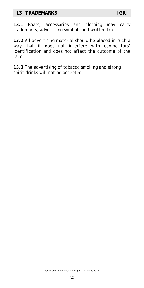#### <span id="page-11-0"></span>**13 TRADEMARKS [GR]**

**13.1** Boats, accessories and clothing may carry trademarks, advertising symbols and written text.

**13.2** All advertising material should be placed in such a way that it does not interfere with competitors' identification and does not affect the outcome of the race.

**13.3** The advertising of tobacco smoking and strong spirit drinks will not be accepted.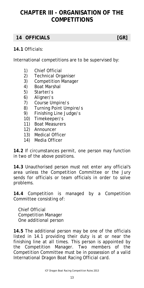# <span id="page-12-0"></span>**CHAPTER III - ORGANISATION OF THE COMPETITIONS**

#### **14 OFFICIALS [GR]**

#### **14.1** Officials:

International competitions are to be supervised by:

- 1) Chief Official
- 2) Technical Organiser
- 3) Competition Manager
- 4) Boat Marshal
- 5) Starter/s
- 6) Aligner/s
- 7) Course Umpire/s
- 8) Turning Point Umpire/s
- 9) Finishing Line Judge/s
- 10) Timekeeper/s
- 11) Boat Measurers
- 12) Announcer
- 13) Medical Officer
- 14) Media Officer

**14.2** If circumstances permit, one person may function in two of the above positions.

**14.3** Unauthorised person must not enter any official's area unless the Competition Committee or the Jury sends for officials or team officials in order to solve problems.

**14.4** Competition is managed by a Competition Committee consisting of:

Chief Official Competition Manager One additional person

**14.5** The additional person may be one of the officials listed in 14.1 providing their duty is at or near the finishing line at all times. This person is appointed by the Competition Manager. Two members of the Competition Committee must be in possession of a valid International Dragon Boat Racing Official card.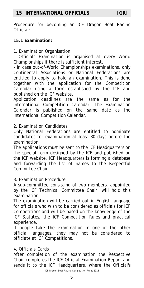<span id="page-13-0"></span>Procedure for becoming an ICF Dragon Boat Racing Official:

#### **15.1 Examination:**

1. Examination Organisation

- Officials Examination is organised at every World Championships if there is sufficient interest.

- In case out-of-World Championships examinations, only Continental Associations or National Federations are entitled to apply to hold an examination. This is done together with the application for the Competition Calendar using a form established by the ICF and published on the ICF website.

Application deadlines are the same as for the International Competition Calendar. The Examination Calendar is published on the same date as the International Competition Calendar.

#### 2. Examination Candidates

Only National Federations are entitled to nominate candidates for examination at least 30 days before the examination.

The applications must be sent to the ICF Headquarters on the special form designed by the ICF and published on the ICF website. ICF Headquarters is forming a database and forwarding the list of names to the Respectful Committee Chair.

#### 3. Examination Procedure

A sub-committee consisting of two members, appointed by the ICF Technical Committee Chair, will hold this examination.

The examination will be carried out in English language for officials who wish to be considered as officials for ICF Competitions and will be based on the knowledge of the ICF Statutes, the ICF Competition Rules and practical experience.

If people take the examination in one of the other official languages, they may not be considered to officiate at ICF Competitions.

#### 4. Officials' Cards

After completion of the examination the Respective Chair completes the ICF Official Examination Report and sends it to the ICF Headquarters, where the Official's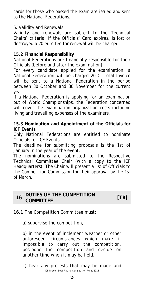<span id="page-14-0"></span>cards for those who passed the exam are issued and sent to the National Federations.

#### 5. Validity and Renewals

Validity and renewals are subject to the Technical Chairs' criteria. If the Officials' Card expires, is lost or destroyed a 20 euro fee for renewal will be charged.

#### **15.2 Financial Responsibility**

National Federations are financially responsible for their Officials (before and after the examination).

For every candidate applied for the examination, a National Federation will be charged 20 €. Total Invoice will be sent to a National Federation in the period between 30 October and 30 November for the current year.

If a National Federation is applying for an examination out of World Championships, the Federation concerned will cover the examination organization costs including living and travelling expenses of the examiners.

#### **15.3 Nomination and Appointment of the Officials for ICF Events**

Only National Federations are entitled to nominate Officials for ICF Events.

The deadline for submitting proposals is the 1st of January in the year of the event.

The nominations are submitted to the Respective Technical Committee Chair (with a copy to the ICF Headquarters). The Chair will present a list of Officials to the Competition Commission for their approval by the 1st of March.

#### **<sup>16</sup>DUTIES OF THE COMPETITION COMMITTEE [TR]**

#### **16.1** The Competition Committee must:

a) supervise the competition,

b) in the event of inclement weather or other unforeseen circumstances which make it impossible to carry out the competition, postpone the competition and decide on another time when it may be held,

ICF Dragon Boat Racing Competition Rules 2013 c) hear any protests that may be made and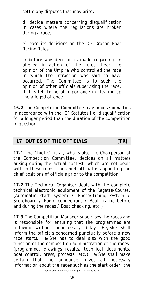<span id="page-15-0"></span>settle any disputes that may arise,

d) decide matters concerning disqualification in cases where the regulations are broken during a race,

e) base its decisions on the ICF Dragon Boat Racing Rules,

f) before any decision is made regarding an alleged infraction of the rules, hear the opinion of the Umpire who controlled the race in which the infraction was said to have occurred. The Committee is to seek the opinion of other officials supervising the race, if it is felt to be of importance in clearing up the alleged offence.

**16.2** The Competition Committee may impose penalties in accordance with the ICF Statutes i.e. disqualification for a longer period than the duration of the competition in question.

#### **17 DUTIES OF THE OFFICIALS [TR]**

**17.1** The *Chief Official*, who is also the Chairperson of the Competition Committee, decides on all matters arising during the actual contest, which are not dealt with in these rules. The chief official is appointing the chief positions of officials prior to the competition.

**17.2** The *Technical Organiser* deals with the complete technical electronic equipment of the Regatta-Course. (Automatic start system / Photo/Timing system / Scoreboard / Radio connections / Boat traffic before and during the races / Boat checking, etc.)

**17.3** The *Competition Manager* supervises the races and is responsible for ensuring that the programmes are followed without unnecessary delay. He/She shall inform the officials concerned punctually before a new race starts. He/She has to deal also with the good function of the competition administration of the races. (programme, drawings results, technical documents, boat control, press, protests, etc.) He/She shall make certain that the announcer gives all necessary information about the races such as the start order, the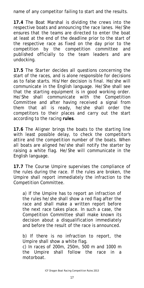name of any competitor failing to start and the results.

**17.4** The *Boat Marshal* is dividing the crews into the respective boats and announcing the race lanes. He/She ensures that the teams are directed to enter the boat at least at the end of the deadline prior to the start of the respective race as fixed on the day prior to the competition by the competition committee and published officially to the team leaders and are undocking.

**17.5** The *Starter* decides all questions concerning the start of the races, and is alone responsible for decisions as to false starts. His/Her decision is final. He/she will communicate in the English language. He/She shall see that the starting equipment is in good working order. He/She shall communicate with the Competition Committee and after having received a signal from them that all is ready, he/she shall order the competitors to their places and carry out the start according to the racing **rules**.

**17.6** The *Aligner* brings the boats to the starting line with least possible delay, to check the competitor's attire and the competition number of the boats. When all boats are aligned he/she shall notify the starter by raising a white flag. He/She will communicate in the English language.

**17.7** The *Course Umpire* supervises the compliance of the rules during the race. If the rules are broken, the Umpire shall report immediately the infraction to the Competition Committee.

a) If the Umpire has to report an infraction of the rules he/she shall show a red flag after the race and shall make a written report before the next race takes place. In such a case, the Competition Committee shall make known its decision about a disqualification immediately and before the result of the race is announced.

*b)* If there is no infraction to report, the Umpire shall show a white flag. *c)* In races of 200m, 250m, 500 m and 1000 m the Umpire shall follow the race in a motorboat.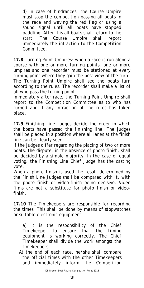*d)* In case of hindrances, the Course Umpire must stop the competition passing all boats in the race and waving the red flag or using a sound signal until all boats have stopped paddling. After this all boats shall return to the start. The Course Umpire shall report immediately the infraction to the Competition Committee.

**17.8** *Turning Point Umpires*: when a race is run along a course with one or more turning points, one or more umpires and one recorder must be stationed at every turning point where they gain the best view of the turn. The Turning Point Umpire shall see the boats turn according to the rules. The recorder shall make a list of all who pass the turning point.

Immediately after race, the Turning Point Umpire shall report to the Competition Committee as to who has turned and if any infraction of the rules has taken place.

**17.9** *Finishing Line Judges* decide the order in which the boats have passed the finishing line. The judges shall be placed in a position where all lanes at the finish line can be clearly seen.

If the judges differ regarding the placing of two or more boats, the dispute, in the absence of photo finish, shall be decided by a simple majority. In the case of equal voting, the Finishing Line Chief Judge has the casting vote.

When a photo finish is used the result determined by the Finish Line Judges shall be compared with it, with the photo finish or video-finish being decisive. Video films are not a substitute for photo finish or videofinish.

**17.10** The *Timekeepers* are responsible for recording the times. This shall be done by means of stopwatches or suitable electronic equipment.

*a)* It is the responsibility of the Chief Timekeeper to ensure that the timing equipment is working correctly. The Chief Timekeeper shall divide the work amongst the timekeepers.

 At the end of each race, he/she shall compare the official times with the other Timekeepers and immediately inform the Competition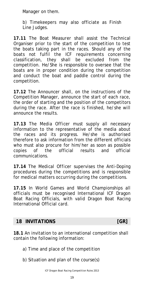<span id="page-18-0"></span>Manager on them.

*b)* Timekeepers may also officiate as Finish Line Judges.

**17.11** The *Boat Measurer* shall assist the Technical Organiser prior to the start of the competition to test the boats taking part in the races. Should any of the boats not fulfil the ICF requirements concerning classification, they shall be excluded from the competition. He/She is responsible to oversee that the boats are in proper condition during the competition and conduct the boat and paddle control during the competition.

**17.12** The *Announcer* shall, on the instructions of the Competition Manager, announce the start of each race, the order of starting and the position of the competitors during the race. After the race is finished, he/she will announce the results.

**17.13** The *Media Officer* must supply all necessary information to the representative of the media about the races and its progress. He/she is authorised therefore to ask information from the different officials who must also procure for him/her as soon as possible copies of the official results and official communications.

**17.14** The *Medical Officer* supervises the Anti-Doping procedures during the competitions and is responsible for medical matters occurring during the competitions.

**17.15** In World Games and World Championships all officials must be recognised International ICF Dragon Boat Racing Officials, with valid Dragon Boat Racing International Official card.

#### **18 INVITATIONS INVITATIONS I**

**18.1** An invitation to an international competition shall contain the following information:

- a) Time and place of the competition
- b) Situation and plan of the course(s)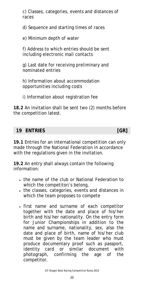<span id="page-19-0"></span>c) Classes, categories, events and distances of races

d) Sequence and starting times of races

e) Minimum depth of water

f) Address to which entries should be sent including electronic mail contacts

g) Last date for receiving preliminary and nominated entries

h) Information about accommodation opportunities including costs

i) Information about registration fee

**18.2** An invitation shall be sent two (2) months before the competition latest.

#### **19 ENTRIES [GR]**

**19.1** Entries for an international competition can only made through the National Federation in accordance with the regulations given in the invitation.

**19.2** An entry shall always contain the following information:

- the name of the club or National Federation to which the competitor/s belong,
- the classes, categories, events and distances in which the team proposes to compete
- first name and surname of each competitor together with the date and place of his/her birth and his/her nationality. On the entry form for Junior Championships in addition to the name and surname, nationality, sex, also the date and place of birth, name of his/her club must be given by the team leader who must produce documentary proof such as passport, identity card or similar document with photograph, confirming the age of the competitor.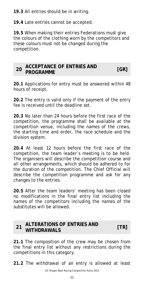<span id="page-20-0"></span>**19.3** All entries should be in writing.

**19.4** Late entries cannot be accepted.

**19.5** When making their entries Federations must give the colours of the clothing worn by the competitors and these colours must not be changed during the competition.

| 20 ACCEPTANCE OF ENTRIES AND |     |
|------------------------------|-----|
| <b>PROGRAMME</b>             | IGR |

**20.1** Applications for entry must be answered within 48 hours of receipt.

**20.2** The entry is valid only if the payment of the entry fee is received until the deadline set.

**20.3** No later than 24 hours before the first race of the competition, the programme shall be available at the competition venue, including the names of the crews, the starting time and order, the race schedule and the division system.

**20.4** At least 12 hours before the first race of the competition, the team leader's meeting is to be held. The organisers will describe the competition course and all other arrangements, which should be adhered to for the duration of the competition. The Chief Official will describe the competition programme and ask for any changes to the entries.

**20.5** After the team leaders' meeting has been closed no modifications in the final entry list including the names of the competitors including the names of the substitutes will be allowed.

#### **<sup>21</sup>ALTERATIONS OF ENTRIES AND WITHDRAWALS [TR]**

**21.1** The composition of the crew may be chosen from the final entry list without any restrictions during the competitions in this category.

**21.2** The withdrawal of an entry is allowed at least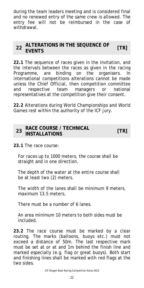<span id="page-21-0"></span>during the team leaders meeting and is considered final and no renewed entry of the same crew is allowed. The entry fee will not be reimbursed in the case of withdrawal.

#### **<sup>22</sup>ALTERATIONS IN THE SEQUENCE OF EVENTS [TR]**

**22.1** The sequence of races given in the invitation, and the intervals between the races as given in the racing Programme, are binding on the organisers. In international competitions alterations cannot be made unless the Chief Official, then competition committee and respective team managers or national representatives at the competition give their consent.

**22.2** Alterations during World Championships and World Games rest within the authority of the ICF jury.

#### **<sup>23</sup>RACE COURSE / TECHNICAL INSTALLATIONS [TR]**

**23.1** The race course:

For races up to 1000 meters, the course shall be straight and in one direction.

The depth of the water at the entire course shall be at least two (2) meters.

The width of the lanes shall be minimum 9 meters, maximum 13.5 meters.

There must be a number of 6 lanes.

An area minimum 10 meters to both sides must be included.

**23.2** The race course must be marked by a clear routing. The marks (balloons, buoys etc.) must not exceed a distance of 50m. The last respective mark must be set at or at and 1m behind the finish line and marked especially (e.g. flag or great buoys). Both start and finishing lines shall be marked with red flags at the two sides.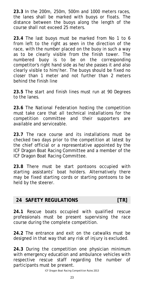<span id="page-22-0"></span>**23.3** In the 200m, 250m, 500m and 1000 meters races, the lanes shall be marked with buoys or floats. The distance between the buoys along the length of the course shall not exceed 25 meters.

**23.4** The last buoys must be marked from No 1 to 6 from left to the right as seen in the direction of the race, with the number placed on the buoy in such a way as to be clearly visible from the finish tower. The numbered buoy is to be on the corresponding competitor's right hand side as he/she passes it and also clearly visible to him/her. The buoys should be fixed no closer than 1 meter and not further than 2 meters behind the finish line

**23.5** The start and finish lines must run at 90 Degrees to the lanes.

**23.6** The National Federation hosting the competition must take care that all technical installations for the competition committee and their supporters are available and serviceable.

**23.7** The race course and its installations must be checked two days prior to the competition at latest by the chief official or a representative appointed by the ICF Dragon Boat Racing Committee and a member of the ICF Dragon Boat Racing Committee.

**23.8** There must be start pontoons occupied with starting assistants' boat holders. Alternatively there may be fixed starting cords or starting pontoons to be held by the steerer.

#### **24 SAFETY REGULATIONS [TR]**

**24.1** Rescue boats occupied with qualified rescue professionals must be present supervising the race course during the complete competition.

**24.2** The entrance and exit on the catwalks must be designed in that way that any risk of injury is excluded.

**24.3** During the competition one physician minimum with emergency education and ambulance vehicles with respective rescue staff regarding the number of participants must be present.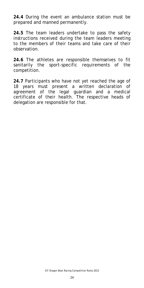**24.4** During the event an ambulance station must be prepared and manned permanently.

**24.5** The team leaders undertake to pass the safety instructions received during the team leaders meeting to the members of their teams and take care of their observation.

**24.6** The athletes are responsible themselves to fit sanitarily the sport-specific requirements of the competition.

**24.7** Participants who have not yet reached the age of 18 years must present a written declaration of agreement of the legal guardian and a medical certificate of their health. The respective heads of delegation are responsible for that.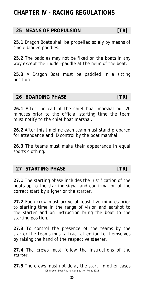# <span id="page-24-0"></span>**CHAPTER IV - RACING REGULATIONS**

#### **25 MEANS OF PROPULSION [TR]**

**25.1** Dragon Boats shall be propelled solely by means of single bladed paddles.

**25.2** The paddles may not be fixed on the boats in any way except the rudder-paddle at the helm of the boat.

**25.3** A Dragon Boat must be paddled in a sitting position.

#### **26 BOARDING PHASE [TR]**

**26.1** After the call of the chief boat marshal but 20 minutes prior to the official starting time the team must notify to the chief boat marshal.

**26.2** After this timeline each team must stand prepared for attendance and ID control by the boat marshal.

**26.3** The teams must make their appearance in equal sports clothing.

#### **27 STARTING PHASE TRI**

**27.1** The starting phase includes the justification of the boats up to the starting signal and confirmation of the correct start by aligner or the starter.

**27.2** Each crew must arrive at least five minutes prior to starting time in the range of vision and earshot to the starter and on instruction bring the boat to the starting position.

**27.3** To control the presence of the teams by the starter the teams must attract attention to themselves by raising the hand of the respective steerer.

**27.4** The crews must follow the instructions of the starter.

ICF Dragon Boat Racing Competition Rules 2013 **27.5** The crews must not delay the start. In other cases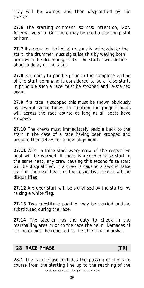<span id="page-25-0"></span>they will be warned and then disqualified by the starter.

**27.6** The starting command sounds: Attention, Go". Alternatively to "Go" there may be used a starting pistol or horn.

**27.7** If a crew for technical reasons is not ready for the start, the drummer must signalise this by waving both arms with the drumming sticks. The starter will decide about a delay of the start.

**27.8** Beginning to paddle prior to the complete ending of the start command is considered to be a false start. In principle such a race must be stopped and re-started again.

**27.9** If a race is stopped this must be shown obviously by several signal tones. In addition the judges' boats will across the race course as long as all boats have stopped.

**27.10** The crews must immediately paddle back to the start in the case of a race having been stopped and prepare themselves for a new alignment.

**27.11** After a false start every crew of the respective heat will be warned. If there is a second false start in the same heat, any crew causing this second false start will be disqualified. If a crew is causing a second false start in the next heats of the respective race it will be disqualified.

**27.12** A proper start will be signalised by the starter by raising a white flag.

**27.13** Two substitute paddles may be carried and be substituted during the race.

**27.14** The steerer has the duty to check in the marshalling area prior to the race the helm. Damages of the helm must be reported to the chief boat marshal.

#### **28 RACE PHASE TRI**

ICF Dragon Boat Racing Competition Rules 2013 **28.1** The race phase includes the passing of the race course from the starting line up to the reaching of the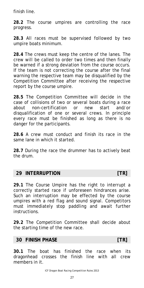<span id="page-26-0"></span>finish line.

**28.2** The course umpires are controlling the race progress.

**28.3** All races must be supervised followed by two umpire boats minimum.

**28.4** The crews must keep the centre of the lanes. The crew will be called to order two times and then finally be warned if a strong deviation from the course occurs. If the team is not correcting the course after the final warning the respective team may be disqualified by the Competition Committee after receiving the respective report by the course umpire.

**28.5** The Competition Committee will decide in the case of collisions of two or several boats during a race about non-certification or new start and/or disqualification of one or several crews. In principle every race must be finished as long as there is no danger for the participants.

**28.6** A crew must conduct and finish its race in the same lane in which it started.

**28.7** During the race the drummer has to actively beat the drum.

#### **29 INTERRUPTION [TR]**

**29.1** The Course Umpire has the right to interrupt a correctly started race if unforeseen hindrances arise. Such an interruption may be effected by the course umpires with a red flag and sound signal. Competitors must immediately stop paddling and await further instructions.

**29.2** The Competition Committee shall decide about the starting time of the new race.

#### **30 FINISH PHASE** [TR]

**30.1** The boat has finished the race when its dragonhead crosses the finish line with all crew members in it.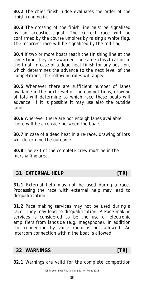<span id="page-27-0"></span>**30.2** The chief finish judge evaluates the order of the finish running in.

**30.3** The crossing of the finish line must be signalised by an acoustic signal. The correct race will be confirmed by the course umpires by raising a white flag. The incorrect race will be signalised by the red flag.

**30.4** If two or more boats reach the finishing line at the same time they are awarded the same classification in the final. In case of a dead heat finish for any position, which determines the advance to the next level of the competitions, the following rules will apply:

**30.5** Whenever there are sufficient number of lanes available in the next level of the competitions, drawing of lots will determine to which race these boats will advance. If it is possible it may use also the outside lane.

**30.6** Wherever there are not enough lanes available there will be a re-race between the boats.

**30.7** In case of a dead heat in a re-race, drawing of lots will determine the outcome.

**30.8** The exit of the complete crew must be in the marshalling area.

#### **31 EXTERNAL HELP** [TR]

**31.1** External help may not be used during a race. Processing the race with external help may lead to disqualification.

**31.2** Pace making services may not be used during a race. They may lead to disqualification. A Pace making services is considered to be the use of electronic amplifiers from landside (e.g. megaphone). In addition the connection by voice radio is not allowed. An intercom connection within the boat is allowed.

#### **32 WARNINGS [TR]**

**32.1** Warnings are valid for the complete competition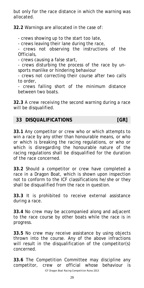<span id="page-28-0"></span>but only for the race distance in which the warning was allocated.

**32.2** Warnings are allocated in the case of:

- crews showing up to the start too late,

- crews leaving their lane during the race,

crews not observing the instructions of the Officials,

- crews causing a false start,

- crews disturbing the process of the race by unsports manlike or hindering behaviour

- crews not correcting their course after two calls to order,

- crews falling short of the minimum distance between two boats.

**32.3** A crew receiving the second warning during a race will be disqualified.

#### **33 DISQUALIFICATIONS [GR]**

**33.1** Any competitor or crew who or which attempts to win a race by any other than honourable means, or who or which is breaking the racing regulations, or who or which is disregarding the honourable nature of the racing regulations shall be disqualified for the duration of the race concerned.

**33.2** Should a competitor or crew have completed a race in a Dragon Boat, which is shown upon inspection not to conform to the ICF classifications he/she or they shall be disqualified from the race in question.

**33.3** It is prohibited to receive external assistance during a race.

**33.4** No crew may be accompanied along and adjacent to the race course by other boats while the race is in progress.

**33.5** No crew may receive assistance by using objects thrown into the course. Any of the above infractions will result in the disqualification of the competitor(s) concerned.

ICF Dragon Boat Racing Competition Rules 2013 **33.6** The Competition Committee may discipline any competitor, crew or official whose behaviour is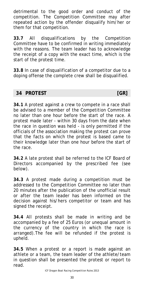<span id="page-29-0"></span>detrimental to the good order and conduct of the competition. The Competition Committee may after repeated action by the offender disqualify him/her or them for that competition.

**33.7** All disqualifications by the Competition Committee have to be confirmed in writing immediately with the reasons. The team leader has to acknowledge the receipt of a copy with the exact time, which is the start of the protest time.

**33.8** In case of disqualification of a competitor due to a doping offense the complete crew shall be disqualified.

#### **34 PROTEST [GR]**

**34.1** A protest against a crew to compete in a race shall be advised to a member of the Competition Committee no later than one hour before the start of the race. A protest made later - within 30 days from the date when the race in question was held - is only permitted if the officials of the association making the protest can prove that the facts on which the protest is based came to their knowledge later than one hour before the start of the race.

**34.2** A late protest shall be referred to the ICF Board of Directors accompanied by the prescribed fee (see below).

**34.3** A protest made during a competition must be addressed to the Competition Committee no later than 20 minutes after the publication of the unofficial result or after the team leader has been informed on the decision against his/hers competitor or team and has signed the receipt.

**34.4** All protests shall be made in writing and be accompanied by a fee of 25 Euros (or unequal amount in the currency of the country in which the race is arranged).The fee will be refunded if the protest is upheld.

**34.5** When a protest or a report is made against an athlete or a team, the team leader of the athlete/team in question shall be presented the protest or report to read.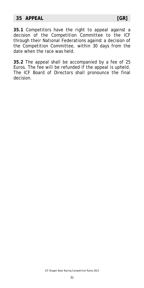#### <span id="page-30-0"></span>**35 APPEAL [GR]**

**35.1** Competitors have the right to appeal against a decision of the Competition Committee to the ICF through their National Federations against a decision of the Competition Committee, within 30 days from the date when the race was held.

**35.2** The appeal shall be accompanied by a fee of 25 Euros. The fee will be refunded if the appeal is upheld. The ICF Board of Directors shall pronounce the final decision.

ICF Dragon Boat Racing Competition Rules 2013

31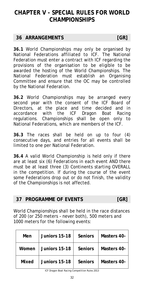## <span id="page-31-0"></span>**CHAPTER V - SPECIAL RULES FOR WORLD CHAMPIONSHIPS**

#### **36 ARRANGEMENTS [GR]**

**36.1** World Championships may only be organised by National Federations affiliated to ICF. The National Federation must enter a contract with ICF regarding the provisions of the organisation to be eligible to be awarded the hosting of the World Championships. The National Federation must establish an Organising Committee and ensure that the OC may be controlled by the National Federation.

**36.2** World Championships may be arranged every second year with the consent of the ICF Board of Directors, at the place and time decided and in accordance with the ICF Dragon Boat Racing regulations. Championships shall be open only to National Federations, which are members of the ICF.

**36.3** The races shall be held on up to four (4) consecutive days, and entries for all events shall be limited to one per National Federation.

**36.4** A valid World Championship is held only if there are at least six (6) Federations in each event AND there must be at least three (3) Continents starting OVERALL in the competition. If during the course of the event some Federations drop out or do not finish, the validity of the Championships is not affected.

#### **37 PROGRAMME OF EVENTS [GR]**

World Championships shall be held in the race distances of 200 (or 250 meters – never both), 500 meters and 1000 meters for the following events:

| Men   | Juniors 15-18 | <b>Seniors</b> | Masters 40- |
|-------|---------------|----------------|-------------|
| Women | Juniors 15-18 | <b>Seniors</b> | Masters 40- |
| Mixed | Juniors 15-18 | <b>Seniors</b> | Masters 40- |

ICF Dragon Boat Racing Competition Rules 2013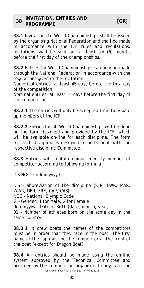<span id="page-32-0"></span>**38.1** Invitations to World Championships shall be issued by the organising National Federation and shall be made in accordance with the ICF rules and regulations. Invitations shall be sent out at least six (6) months before the first day of the championships.

**38.2** Entries for World Championships can only be made through the National Federation in accordance with the regulations given in the invitation.

Numerical entries: at least 45 days before the first day of the competition

Nominal entries: at least 14 days before the first day of the competition

**38.2.1** The entries will only be accepted from fully paid up members of the ICF.

**38.2.2** Entries for all World Championships will be done on the form designed and provided by the ICF, which will be available on-line for each discipline. The form for each discipline is designed in agreement with the respective discipline Committee.

**38.3** Entries will contain unique identity number of competitor according to following formula:

DIS NOC G ddmmyyyy 01

DIS - abbreviation of the discipline (SLR, FWR, MAR, WWR, DBR, FRE, CAP, CAS) NOC – National Olympic Code

G – Gender: 1 for Male, 2 for Female

ddmmyyyy – Date of Birth (date, month, year)

01 - Number of athletes born on the same day in the same country

**38.3.1** In crew boats the names of the competitors must be in order that they race in the boat. The first name at the top must be the competitor at the front of the boat (except for Dragon Boat).

ICF Dragon Boat Racing Competition Rules 2013 **38.4** All entries should be made using the on-line system approved by the Technical Committee and provided by the competition organiser. In any case the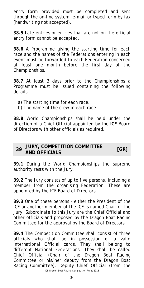<span id="page-33-0"></span>entry form provided must be completed and sent through the on-line system, e-mail or typed form by fax (handwriting not accepted).

**38.5** Late entries or entries that are not on the official entry form cannot be accepted.

**38.6** A Programme giving the starting time for each race and the names of the Federations entering in each event must be forwarded to each Federation concerned at least one month before the first day of the Championships.

**38.7** At least 3 days prior to the Championships a Programme must be issued containing the following details:

- a) The starting time for each race.
- b) The name of the crew in each race.

**38.8** World Championships shall be held under the direction of a Chief Official appointed by the **ICF** Board of Directors with other officials as required.

#### **<sup>39</sup>JURY, COMPETITION COMMITTEE AND OFFICIALS [GR]**

**39.1** During the World Championships the supreme authority rests with the Jury.

**39.2** The Jury consists of up to five persons, including a member from the organising Federation. These are appointed by the ICF Board of Directors.

**39.3** One of these persons - either the President of the ICF or another member of the ICF is named Chair of the Jury. Subordinate to this Jury are the Chief Official and other officials and proposed by the Dragon Boat Racing Committee for the approval by the Board of Directors.

**39.4** The Competition Committee shall consist of three officials who shall be in possession of a valid International Official cards. They shall belong to different National Federations. They shall be called Chief Official (Chair of the Dragon Boat Racing Committee or his/her deputy from the Dragon Boat Racing Committee), Deputy Chief Official (from the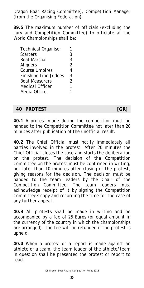<span id="page-34-0"></span>Dragon Boat Racing Committee), Competition Manager (from the Organising Federation).

**39.5** The maximum number of officials (excluding the Jury and Competition Committee) to officiate at the World Championships shall be:

| <b>Technical Organiser</b>   |                |
|------------------------------|----------------|
| Starters                     | 3              |
| Boat Marshal                 | 3              |
| Aligners                     | $\overline{2}$ |
| <b>Course Umpires</b>        | 4              |
| <b>Finishing Line Judges</b> | 3              |
| <b>Boat Measurers</b>        | $\overline{2}$ |
| Medical Officer              | 1              |
| Media Officer                |                |

#### **40 PROTEST [GR]**

**40.1** A protest made during the competition must be handed to the Competition Committee not later than 20 minutes after publication of the unofficial result.

**40.2** The Chief Official must notify immediately all parties involved in the protest. After 20 minutes the Chief Official closes the case and starts the deliberation on the protest. The decision of the Competition Committee on the protest must be confirmed in writing, not later than 10 minutes after closing of the protest, giving reasons for the decision. The decision must be handed to the team leaders by the Chair of the Competition Committee. The team leaders must acknowledge receipt of it by signing the Competition Committee's copy and recording the time for the case of any further appeal.

**40.3** All protests shall be made in writing and be accompanied by a fee of 25 Euros (or equal amount in the currency of the country in which the championships are arranged). The fee will be refunded if the protest is upheld.

**40.4** When a protest or a report is made against an athlete or a team, the team leader of the athlete/team in question shall be presented the protest or report to read.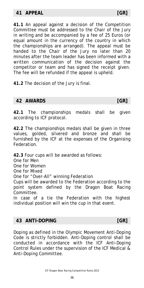#### <span id="page-35-0"></span>**41 APPEAL [GR]**

**41.1** An appeal against a decision of the Competition Committee must be addressed to the Chair of the Jury in writing and be accompanied by a fee of 25 Euros (or equal amount in the currency of the country in which the championships are arranged). The appeal must be handed to the Chair of the Jury no later than 20 minutes after the team leader has been informed with a written communication of the decision against the competitor or team and has signed the receipt given. The fee will be refunded if the appeal is upheld.

**41.2** The decision of the Jury is final.

#### **42 AWARDS [GR]**

**42.1** The championships medals shall be given according to ICF protocol.

**42.2** The championships medals shall be given in three values, golded, silvered and bronze and shall be furnished by the ICF at the expenses of the Organising Federation.

**42.3** Four cups will be awarded as follows:

One for Men

One for Women

One for Mixed

One for "Over-All" winning Federation

Cups will be awarded to the Federation according to the point system defined by the Dragon Boat Racing Committee.

In case of a tie the Federation with the highest individual position will win the cup in that event.

#### **43 ANTI-DOPING [GR]**

Doping as defined in the Olympic Movement Anti-Doping Code is strictly forbidden. Anti-Doping control shall be conducted in accordance with the ICF Anti-Doping Control Rules under the supervision of the ICF Medical & Anti-Doping Committee.